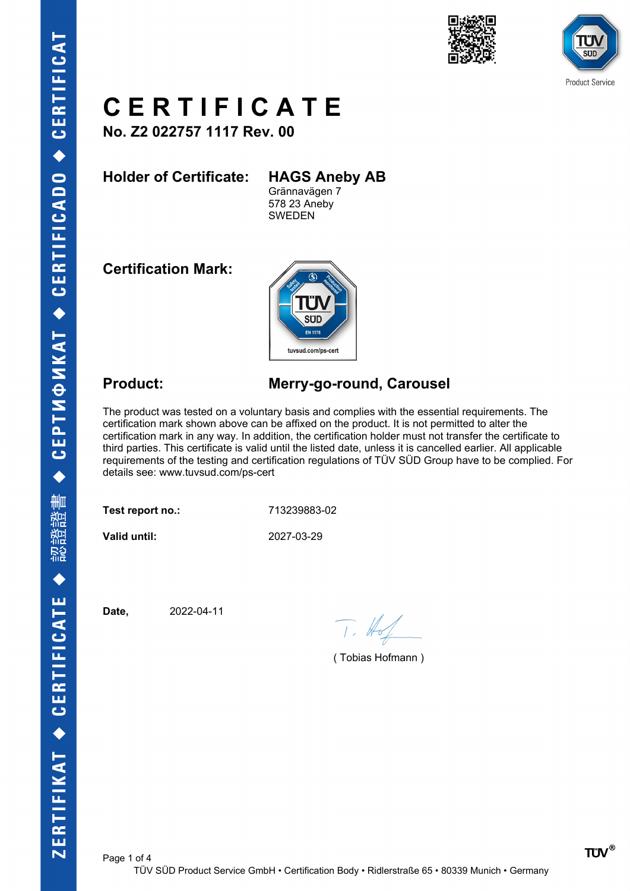





**No. Z2 022757 1117 Rev. 00**

**Holder of Certificate: HAGS Aneby AB**

Grännavägen 7 578 23 Aneby SWEDEN

**Certification Mark:**



### **Product: Merry-go-round, Carousel**

The product was tested on a voluntary basis and complies with the essential requirements. The certification mark shown above can be affixed on the product. It is not permitted to alter the certification mark in any way. In addition, the certification holder must not transfer the certificate to third parties. This certificate is valid until the listed date, unless it is cancelled earlier. All applicable requirements of the testing and certification regulations of TÜV SÜD Group have to be complied. For details see: www.tuvsud.com/ps-cert

**Test report no.:** 713239883-02

**Valid until:** 2027-03-29

**Date,** 2022-04-11

 $T. #$ 

( Tobias Hofmann )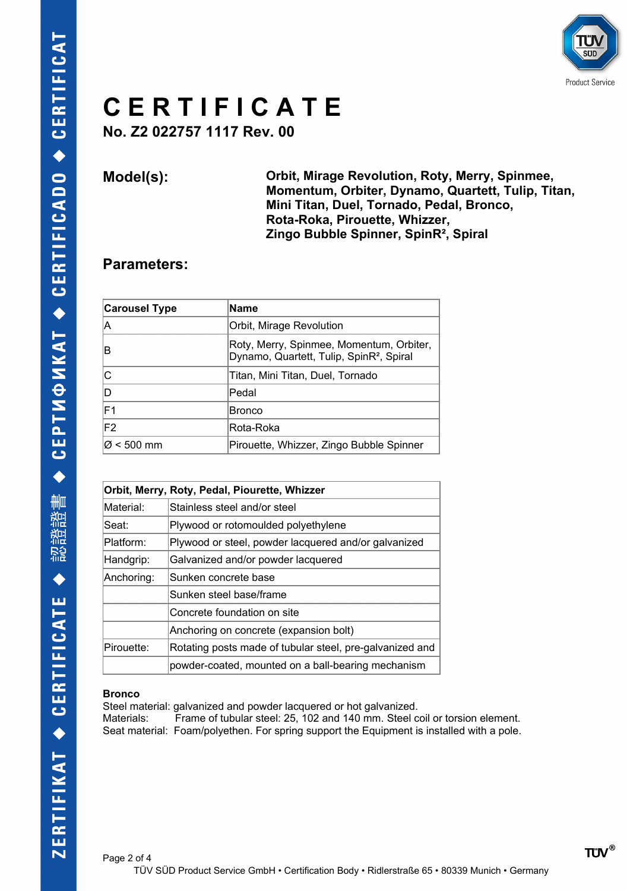

**No. Z2 022757 1117 Rev. 00**

**Model(s): Orbit, Mirage Revolution, Roty, Merry, Spinmee, Momentum, Orbiter, Dynamo, Quartett, Tulip, Titan, Mini Titan, Duel, Tornado, Pedal, Bronco, Rota-Roka, Pirouette, Whizzer, Zingo Bubble Spinner, SpinR², Spiral**

#### **Parameters:**

| <b>Carousel Type</b> | <b>Name</b>                                                                                      |
|----------------------|--------------------------------------------------------------------------------------------------|
| A                    | Orbit, Mirage Revolution                                                                         |
| в                    | Roty, Merry, Spinmee, Momentum, Orbiter,<br>Dynamo, Quartett, Tulip, SpinR <sup>2</sup> , Spiral |
| С                    | Titan, Mini Titan, Duel, Tornado                                                                 |
| D                    | Pedal                                                                                            |
| F1                   | <b>Bronco</b>                                                                                    |
| F <sub>2</sub>       | Rota-Roka                                                                                        |
| Ø < 500 mm           | Pirouette, Whizzer, Zingo Bubble Spinner                                                         |

| Orbit, Merry, Roty, Pedal, Piourette, Whizzer |                                                          |
|-----------------------------------------------|----------------------------------------------------------|
| Material:                                     | Stainless steel and/or steel                             |
| Seat:                                         | Plywood or rotomoulded polyethylene                      |
| Platform:                                     | Plywood or steel, powder lacquered and/or galvanized     |
| Handgrip:                                     | Galvanized and/or powder lacquered                       |
| Anchoring:                                    | Sunken concrete base                                     |
|                                               | Sunken steel base/frame                                  |
|                                               | Concrete foundation on site                              |
|                                               | Anchoring on concrete (expansion bolt)                   |
| Pirouette:                                    | Rotating posts made of tubular steel, pre-galvanized and |
|                                               | powder-coated, mounted on a ball-bearing mechanism       |

#### **Bronco**

Steel material: galvanized and powder lacquered or hot galvanized. Materials: Frame of tubular steel: 25, 102 and 140 mm. Steel coil or torsion element. Seat material: Foam/polyethen. For spring support the Equipment is installed with a pole.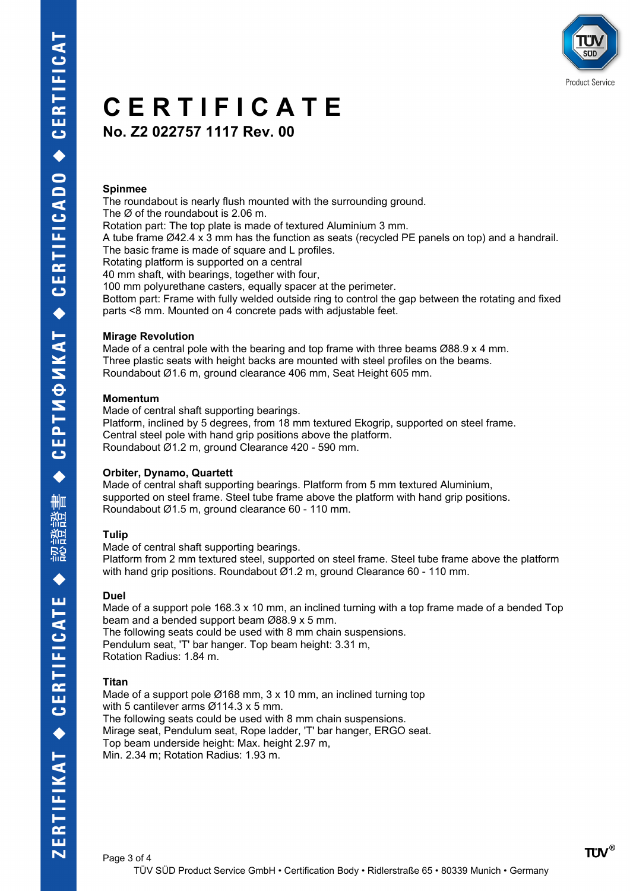**No. Z2 022757 1117 Rev. 00**

#### **Spinmee**

The roundabout is nearly flush mounted with the surrounding ground. The Ø of the roundabout is 2.06 m. Rotation part: The top plate is made of textured Aluminium 3 mm. A tube frame Ø42.4 x 3 mm has the function as seats (recycled PE panels on top) and a handrail. The basic frame is made of square and L profiles. Rotating platform is supported on a central 40 mm shaft, with bearings, together with four, 100 mm polyurethane casters, equally spacer at the perimeter. Bottom part: Frame with fully welded outside ring to control the gap between the rotating and fixed parts <8 mm. Mounted on 4 concrete pads with adjustable feet.

#### **Mirage Revolution**

Made of a central pole with the bearing and top frame with three beams Ø88.9 x 4 mm. Three plastic seats with height backs are mounted with steel profiles on the beams. Roundabout Ø1.6 m, ground clearance 406 mm, Seat Height 605 mm.

#### **Momentum**

Made of central shaft supporting bearings. Platform, inclined by 5 degrees, from 18 mm textured Ekogrip, supported on steel frame. Central steel pole with hand grip positions above the platform. Roundabout Ø1.2 m, ground Clearance 420 - 590 mm.

#### **Orbiter, Dynamo, Quartett**

Made of central shaft supporting bearings. Platform from 5 mm textured Aluminium, supported on steel frame. Steel tube frame above the platform with hand grip positions. Roundabout Ø1.5 m, ground clearance 60 - 110 mm.

#### **Tulip**

Made of central shaft supporting bearings. Platform from 2 mm textured steel, supported on steel frame. Steel tube frame above the platform with hand grip positions. Roundabout Ø1.2 m, ground Clearance 60 - 110 mm.

#### **Duel**

Made of a support pole 168.3 x 10 mm, an inclined turning with a top frame made of a bended Top beam and a bended support beam Ø88.9 x 5 mm. The following seats could be used with 8 mm chain suspensions. Pendulum seat, 'T' bar hanger. Top beam height: 3.31 m, Rotation Radius: 1.84 m.

#### **Titan**

Made of a support pole Ø168 mm, 3 x 10 mm, an inclined turning top with 5 cantilever arms Ø114.3 x 5 mm. The following seats could be used with 8 mm chain suspensions. Mirage seat, Pendulum seat, Rope ladder, 'T' bar hanger, ERGO seat. Top beam underside height: Max. height 2.97 m, Min. 2.34 m; Rotation Radius: 1.93 m.